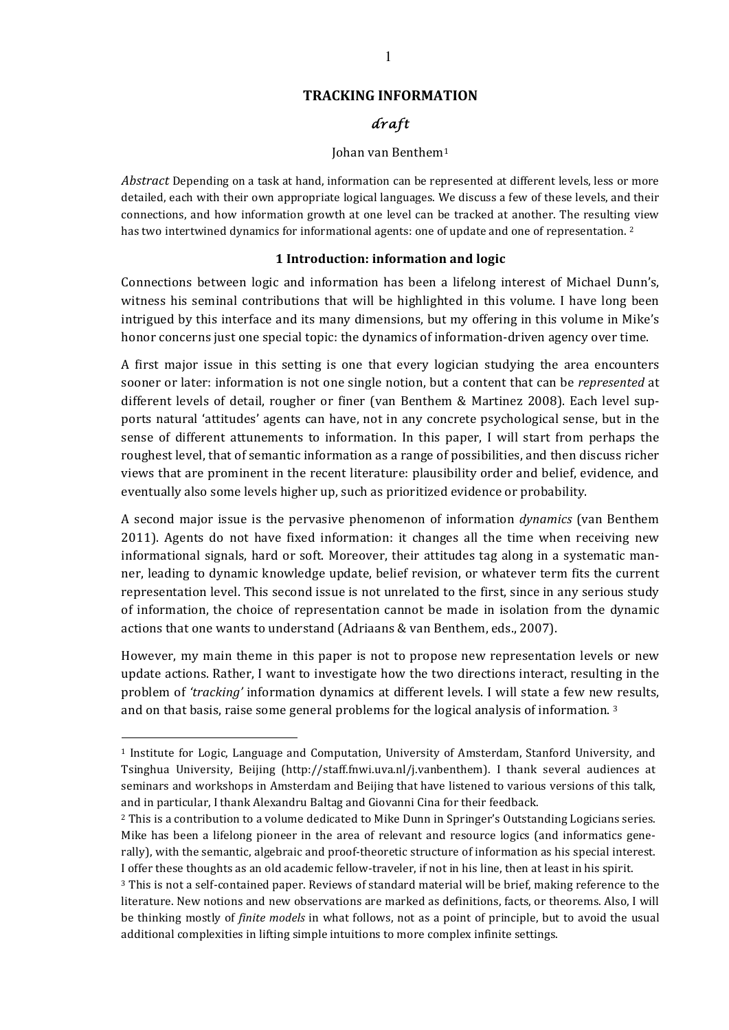## **TRACKING INFORMATION**

# *draft*

#### Johan van Benthem<sup>1</sup>

Abstract Depending on a task at hand, information can be represented at different levels, less or more detailed, each with their own appropriate logical languages. We discuss a few of these levels, and their connections, and how information growth at one level can be tracked at another. The resulting view has two intertwined dynamics for informational agents: one of update and one of representation. <sup>2</sup>

#### **1** Introduction: information and logic

Connections between logic and information has been a lifelong interest of Michael Dunn's, witness his seminal contributions that will be highlighted in this volume. I have long been intrigued by this interface and its many dimensions, but my offering in this volume in Mike's honor concerns just one special topic: the dynamics of information-driven agency over time.

A first major issue in this setting is one that every logician studying the area encounters sooner or later: information is not one single notion, but a content that can be *represented* at different levels of detail, rougher or finer (van Benthem & Martinez 2008). Each level supports natural 'attitudes' agents can have, not in any concrete psychological sense, but in the sense of different attunements to information. In this paper, I will start from perhaps the roughest level, that of semantic information as a range of possibilities, and then discuss richer views that are prominent in the recent literature: plausibility order and belief, evidence, and eventually also some levels higher up, such as prioritized evidence or probability.

A second major issue is the pervasive phenomenon of information *dynamics* (van Benthem 2011). Agents do not have fixed information: it changes all the time when receiving new informational signals, hard or soft. Moreover, their attitudes tag along in a systematic manner, leading to dynamic knowledge update, belief revision, or whatever term fits the current representation level. This second issue is not unrelated to the first, since in any serious study of information, the choice of representation cannot be made in isolation from the dynamic actions that one wants to understand (Adriaans & van Benthem, eds., 2007).

However, my main theme in this paper is not to propose new representation levels or new update actions. Rather, I want to investigate how the two directions interact, resulting in the problem of *'tracking'* information dynamics at different levels. I will state a few new results, and on that basis, raise some general problems for the logical analysis of information.  $3$ 

 $1$  Institute for Logic, Language and Computation, University of Amsterdam, Stanford University, and Tsinghua University, Beijing (http://staff.fnwi.uva.nl/j.vanbenthem). I thank several audiences at seminars and workshops in Amsterdam and Beijing that have listened to various versions of this talk. and in particular, I thank Alexandru Baltag and Giovanni Cina for their feedback.

<sup>&</sup>lt;sup>2</sup> This is a contribution to a volume dedicated to Mike Dunn in Springer's Outstanding Logicians series. Mike has been a lifelong pioneer in the area of relevant and resource logics (and informatics generally), with the semantic, algebraic and proof-theoretic structure of information as his special interest. I offer these thoughts as an old academic fellow-traveler, if not in his line, then at least in his spirit.

<sup>&</sup>lt;sup>3</sup> This is not a self-contained paper. Reviews of standard material will be brief, making reference to the literature. New notions and new observations are marked as definitions, facts, or theorems. Also, I will be thinking mostly of *finite models* in what follows, not as a point of principle, but to avoid the usual additional complexities in lifting simple intuitions to more complex infinite settings.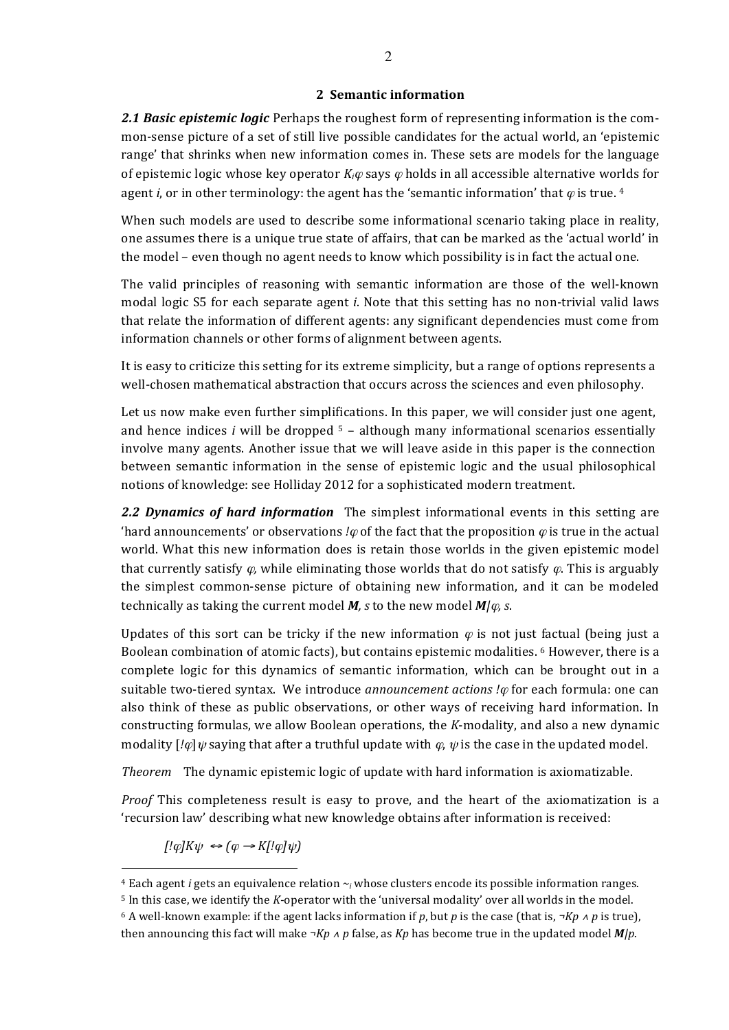## **2 Semantic information**

**2.1 Basic epistemic logic** Perhaps the roughest form of representing information is the common-sense picture of a set of still live possible candidates for the actual world, an 'epistemic range' that shrinks when new information comes in. These sets are models for the language of epistemic logic whose key operator  $K_i\varphi$  says  $\varphi$  holds in all accessible alternative worlds for agent *i*, or in other terminology: the agent has the 'semantic information' that  $\varphi$  is true. 4

When such models are used to describe some informational scenario taking place in reality, one assumes there is a unique true state of affairs, that can be marked as the 'actual world' in the model – even though no agent needs to know which possibility is in fact the actual one.

The valid principles of reasoning with semantic information are those of the well-known modal logic S5 for each separate agent *i*. Note that this setting has no non-trivial valid laws that relate the information of different agents: any significant dependencies must come from information channels or other forms of alignment between agents.

It is easy to criticize this setting for its extreme simplicity, but a range of options represents a well-chosen mathematical abstraction that occurs across the sciences and even philosophy.

Let us now make even further simplifications. In this paper, we will consider just one agent, and hence indices *i* will be dropped  $5$  – although many informational scenarios essentially involve many agents. Another issue that we will leave aside in this paper is the connection between semantic information in the sense of epistemic logic and the usual philosophical notions of knowledge: see Holliday 2012 for a sophisticated modern treatment.

**2.2 Dynamics of hard information** The simplest informational events in this setting are 'hard announcements' or observations *!* $\varphi$  of the fact that the proposition  $\varphi$  is true in the actual world. What this new information does is retain those worlds in the given epistemic model that currently satisfy  $\varphi$ , while eliminating those worlds that do not satisfy  $\varphi$ . This is arguably the simplest common-sense picture of obtaining new information, and it can be modeled technically as taking the current model  $M$ , s to the new model  $M/\varphi$ , s.

Updates of this sort can be tricky if the new information  $\varphi$  is not just factual (being just a Boolean combination of atomic facts), but contains epistemic modalities.  $6$  However, there is a complete logic for this dynamics of semantic information, which can be brought out in a suitable two-tiered syntax. We introduce *announcement actions !* $\varphi$  for each formula: one can also think of these as public observations, or other ways of receiving hard information. In constructing formulas, we allow Boolean operations, the *K*-modality, and also a new dynamic modality  $\left[\ell\varphi\right]\psi$  saying that after a truthful update with  $\varphi$ ,  $\psi$  is the case in the updated model.

*Theorem* The dynamic epistemic logic of update with hard information is axiomatizable.

*Proof* This completeness result is easy to prove, and the heart of the axiomatization is a 'recursion law' describing what new knowledge obtains after information is received:

 $[$ ! $\varphi$ *]K* $\psi \leftrightarrow (\varphi \rightarrow K$ [! $\varphi$ ] $\psi$  $)$ 

 $4$  Each agent *i* gets an equivalence relation  $\sim$ *i* whose clusters encode its possible information ranges.

<sup>&</sup>lt;sup>5</sup> In this case, we identify the *K*-operator with the 'universal modality' over all worlds in the model.

<sup>6</sup> A well-known example: if the agent lacks information if p, but p is the case (that is,  $\neg Kp \wedge p$  is true), then announcing this fact will make  $\neg Kp \wedge p$  false, as  $Kp$  has become true in the updated model  $M/p$ .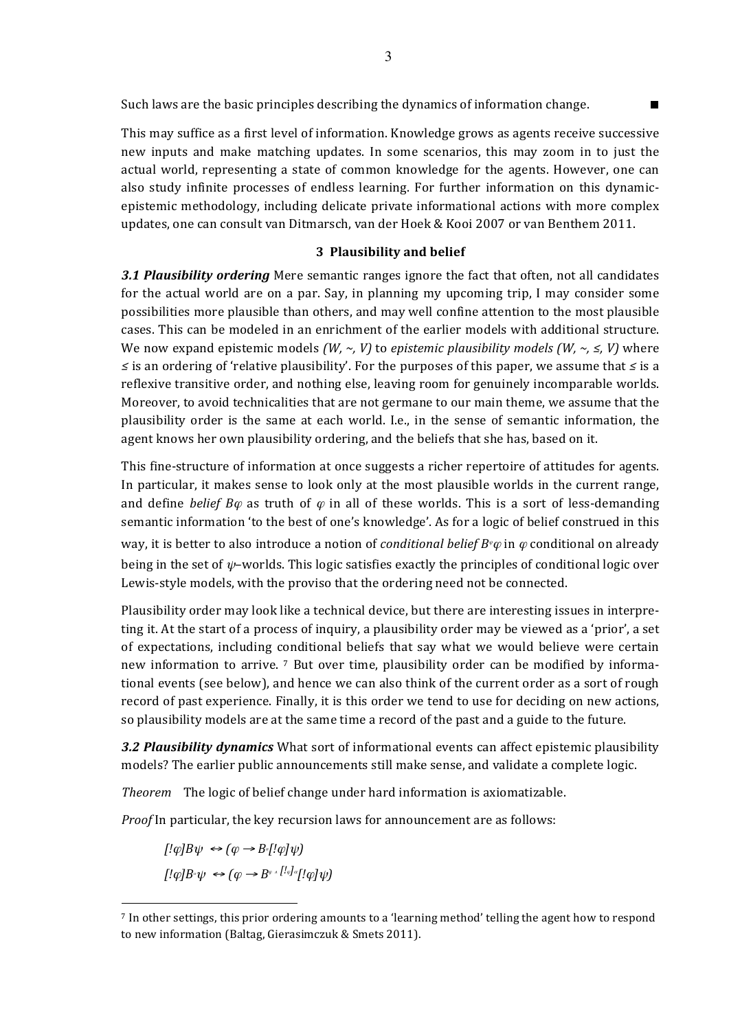Such laws are the basic principles describing the dynamics of information change.

This may suffice as a first level of information. Knowledge grows as agents receive successive new inputs and make matching updates. In some scenarios, this may zoom in to just the actual world, representing a state of common knowledge for the agents. However, one can also study infinite processes of endless learning. For further information on this dynamicepistemic methodology, including delicate private informational actions with more complex updates, one can consult van Ditmarsch, van der Hoek & Kooi 2007 or van Benthem 2011.

#### **3 Plausibility and belief**

**3.1 Plausibility ordering** Mere semantic ranges ignore the fact that often, not all candidates for the actual world are on a par. Say, in planning my upcoming trip, I may consider some possibilities more plausible than others, and may well confine attention to the most plausible cases. This can be modeled in an enrichment of the earlier models with additional structure. We now expand epistemic models  $(W, \sim, V)$  to *epistemic plausibility models*  $(W, \sim, \leq, V)$  where *≤* is an ordering of 'relative plausibility'. For the purposes of this paper, we assume that *≤* is a reflexive transitive order, and nothing else, leaving room for genuinely incomparable worlds. Moreover, to avoid technicalities that are not germane to our main theme, we assume that the plausibility order is the same at each world. I.e., in the sense of semantic information, the agent knows her own plausibility ordering, and the beliefs that she has, based on it.

This fine-structure of information at once suggests a richer repertoire of attitudes for agents. In particular, it makes sense to look only at the most plausible worlds in the current range, and define *belief*  $B\varphi$  as truth of  $\varphi$  in all of these worlds. This is a sort of less-demanding semantic information 'to the best of one's knowledge'. As for a logic of belief construed in this way, it is better to also introduce a notion of *conditional belief*  $B^{\psi}\varphi$  in  $\varphi$  conditional on already being in the set of  $\psi$ –worlds. This logic satisfies exactly the principles of conditional logic over Lewis-style models, with the proviso that the ordering need not be connected.

Plausibility order may look like a technical device, but there are interesting issues in interpreting it. At the start of a process of inquiry, a plausibility order may be viewed as a 'prior', a set of expectations, including conditional beliefs that say what we would believe were certain new information to arrive.  $\frac{7}{7}$  But over time, plausibility order can be modified by informational events (see below), and hence we can also think of the current order as a sort of rough record of past experience. Finally, it is this order we tend to use for deciding on new actions, so plausibility models are at the same time a record of the past and a guide to the future.

**3.2 Plausibility dynamics** What sort of informational events can affect epistemic plausibility models? The earlier public announcements still make sense, and validate a complete logic.

*Theorem* The logic of belief change under hard information is axiomatizable.

*Proof* In particular, the key recursion laws for announcement are as follows:

 $[$ ! $\varphi$ ] $B\psi \leftrightarrow (\varphi \rightarrow B$ <sup>[</sup>! $\varphi$ ] $\psi$ )  $\int$ *[!* $\varphi$ ]*B*<sup> $\varphi$ </sup>  $\leftrightarrow$   $(\varphi \rightarrow B^{\varphi} \land \left[ \frac{I_{\varphi}}{q} \right] \cdot \varphi \right] \psi$ 

 $<sup>7</sup>$  In other settings, this prior ordering amounts to a 'learning method' telling the agent how to respond</sup> to new information (Baltag, Gierasimczuk & Smets 2011).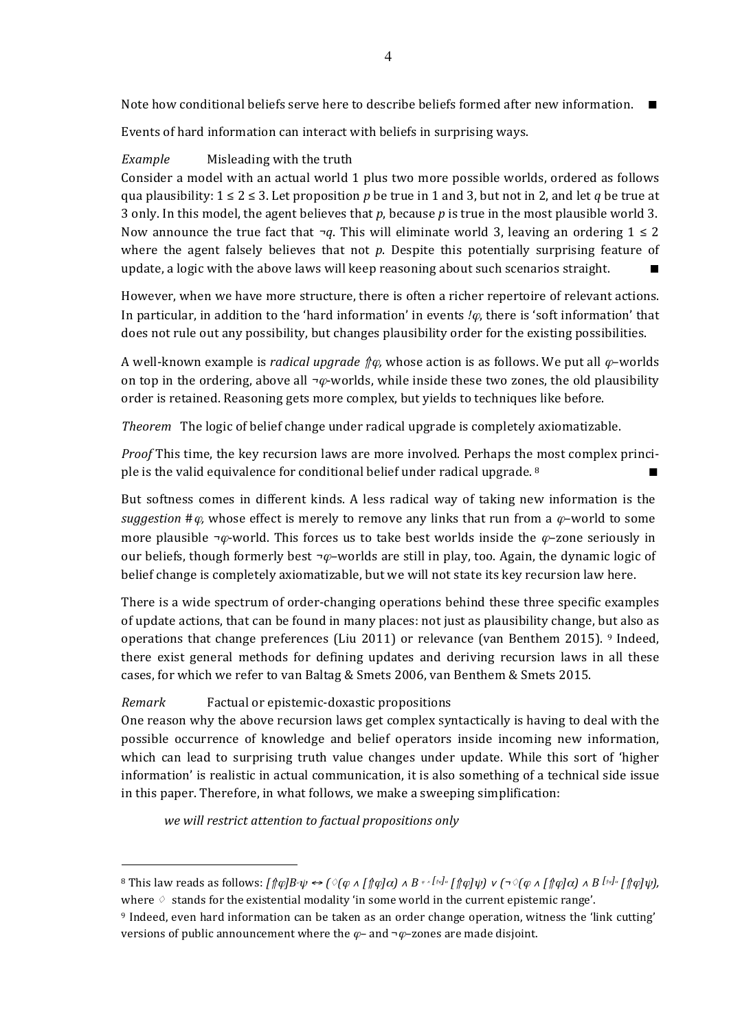Note how conditional beliefs serve here to describe beliefs formed after new information.  $\blacksquare$ 

Events of hard information can interact with beliefs in surprising ways.

# *Example* Misleading with the truth

Consider a model with an actual world 1 plus two more possible worlds, ordered as follows qua plausibility:  $1 \le 2 \le 3$ . Let proposition *p* be true in 1 and 3, but not in 2, and let *q* be true at 3 only. In this model, the agent believes that *p*, because *p* is true in the most plausible world 3. Now announce the true fact that  $\neg q$ . This will eliminate world 3, leaving an ordering  $1 \leq 2$ where the agent falsely believes that not  $p$ . Despite this potentially surprising feature of update, a logic with the above laws will keep reasoning about such scenarios straight.  $\blacksquare$ 

However, when we have more structure, there is often a richer repertoire of relevant actions. In particular, in addition to the 'hard information' in events  $\varphi$ , there is 'soft information' that does not rule out any possibility, but changes plausibility order for the existing possibilities.

A well-known example is *radical upgrade*  $\phi$ *,* whose action is as follows. We put all  $\varphi$ -worlds on top in the ordering, above all  $\neg \varphi$ -worlds, while inside these two zones, the old plausibility order is retained. Reasoning gets more complex, but yields to techniques like before.

*Theorem* The logic of belief change under radical upgrade is completely axiomatizable.

*Proof* This time, the key recursion laws are more involved. Perhaps the most complex principle is the valid equivalence for conditional belief under radical upgrade.  $8$ 

But softness comes in different kinds. A less radical way of taking new information is the *suggestion*  $\#\varphi$ , whose effect is merely to remove any links that run from a  $\varphi$ -world to some more plausible  $\neg \varphi$ -world. This forces us to take best worlds inside the  $\varphi$ -zone seriously in our beliefs, though formerly best  $\neg \varphi$ –worlds are still in play, too. Again, the dynamic logic of belief change is completely axiomatizable, but we will not state its key recursion law here.

There is a wide spectrum of order-changing operations behind these three specific examples of update actions, that can be found in many places: not just as plausibility change, but also as operations that change preferences (Liu 2011) or relevance (van Benthem 2015). 9 Indeed, there exist general methods for defining updates and deriving recursion laws in all these cases, for which we refer to van Baltag & Smets 2006, van Benthem & Smets 2015.

### *Remark* **Factual or epistemic-doxastic propositions**

 $\overline{a}$ 

One reason why the above recursion laws get complex syntactically is having to deal with the possible occurrence of knowledge and belief operators inside incoming new information, which can lead to surprising truth value changes under update. While this sort of 'higher information' is realistic in actual communication, it is also something of a technical side issue in this paper. Therefore, in what follows, we make a sweeping simplification:

we will restrict attention to factual propositions only

<sup>&</sup>lt;sup>8</sup> This law reads as follows:  $\int \phi B \cdot \psi \Leftrightarrow$   $\int \phi (\phi \wedge \int \phi) d\alpha$   $\wedge B \cdot \int \phi d\psi$   $\int \phi d\psi$   $\int \phi (\phi \wedge \int \phi) d\alpha$   $\wedge B \cdot \int \phi d\psi$ , where  $\Diamond$  stands for the existential modality 'in some world in the current epistemic range'.

<sup>&</sup>lt;sup>9</sup> Indeed, even hard information can be taken as an order change operation, witness the 'link cutting' versions of public announcement where the  $\varphi$ – and  $\neg \varphi$ –zones are made disjoint.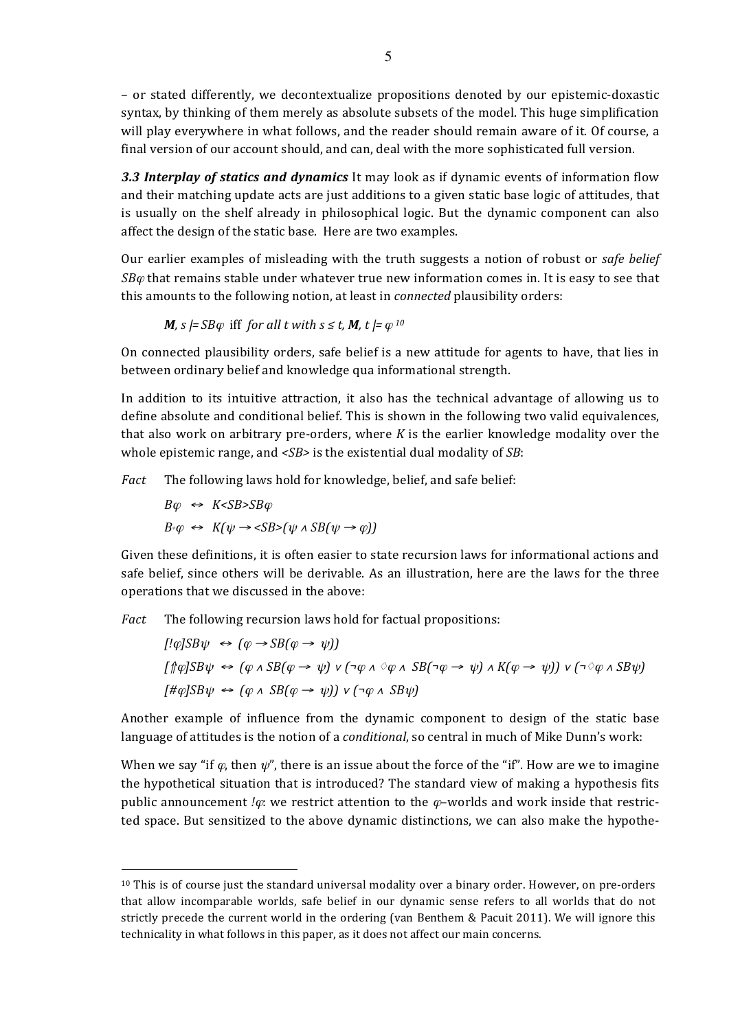– or stated differently, we decontextualize propositions denoted by our epistemic-doxastic syntax, by thinking of them merely as absolute subsets of the model. This huge simplification will play everywhere in what follows, and the reader should remain aware of it. Of course, a final version of our account should, and can, deal with the more sophisticated full version.

**3.3 Interplay of statics and dynamics** It may look as if dynamic events of information flow and their matching update acts are just additions to a given static base logic of attitudes, that is usually on the shelf already in philosophical logic. But the dynamic component can also affect the design of the static base. Here are two examples.

Our earlier examples of misleading with the truth suggests a notion of robust or *safe belief*  $SB\varphi$  that remains stable under whatever true new information comes in. It is easy to see that this amounts to the following notion, at least in *connected* plausibility orders:

*M, s*  $=$  *SB* $\varphi$  iff *for all t with s*  $\le$  *t*, *M, t*  $=$   $\varphi$  <sup>*10*</sup>

On connected plausibility orders, safe belief is a new attitude for agents to have, that lies in between ordinary belief and knowledge qua informational strength.

In addition to its intuitive attraction, it also has the technical advantage of allowing us to define absolute and conditional belief. This is shown in the following two valid equivalences, that also work on arbitrary pre-orders, where  $K$  is the earlier knowledge modality over the whole epistemic range, and  $\langle SB \rangle$  is the existential dual modality of *SB*:

*Fact* The following laws hold for knowledge, belief, and safe belief:

$$
B\varphi \iff KSB\varphi
$$
\n
$$
B^{\varphi}\varphi \iff K(\psi \to \langle SB \rangle(\psi \land SB(\psi \to \varphi)))
$$

 $\overline{a}$ 

Given these definitions, it is often easier to state recursion laws for informational actions and safe belief, since others will be derivable. As an illustration, here are the laws for the three operations that we discussed in the above:

*Fact* The following recursion laws hold for factual propositions:

 $[$ ! $\varphi$ *|SB* $\psi \leftrightarrow (\varphi \rightarrow SB(\varphi \rightarrow \psi))$ *[*⇑ϕ*]SB*ψ<sup>↔</sup> *(*<sup>ϕ</sup> <sup>∧</sup> *SB(*<sup>ϕ</sup> <sup>→</sup>ψ*)* <sup>∨</sup> *(¬*<sup>ϕ</sup> <sup>∧</sup> **♢**<sup>ϕ</sup> <sup>∧</sup> *SB(¬*<sup>ϕ</sup> <sup>→</sup>ψ*)* <sup>∧</sup> *K(*<sup>ϕ</sup> <sup>→</sup>ψ*))* <sup>∨</sup> *(¬***♢**<sup>ϕ</sup> <sup>∧</sup> *SB*ψ*)*   $[$ # $\varphi$  $|$ *SB* $\psi$  ↔  $(\varphi \land SB(\varphi \rightarrow \psi))$   $\vee$   $(¬\varphi \land SB\psi)$ 

Another example of influence from the dynamic component to design of the static base language of attitudes is the notion of a *conditional*, so central in much of Mike Dunn's work:

When we say "if  $\varphi$ , then  $\psi$ ", there is an issue about the force of the "if". How are we to imagine the hypothetical situation that is introduced? The standard view of making a hypothesis fits public announcement *!* $\varphi$ : we restrict attention to the  $\varphi$ -worlds and work inside that restricted space. But sensitized to the above dynamic distinctions, we can also make the hypothe-

 $10$  This is of course just the standard universal modality over a binary order. However, on pre-orders that allow incomparable worlds, safe belief in our dynamic sense refers to all worlds that do not strictly precede the current world in the ordering (van Benthem & Pacuit 2011). We will ignore this technicality in what follows in this paper, as it does not affect our main concerns.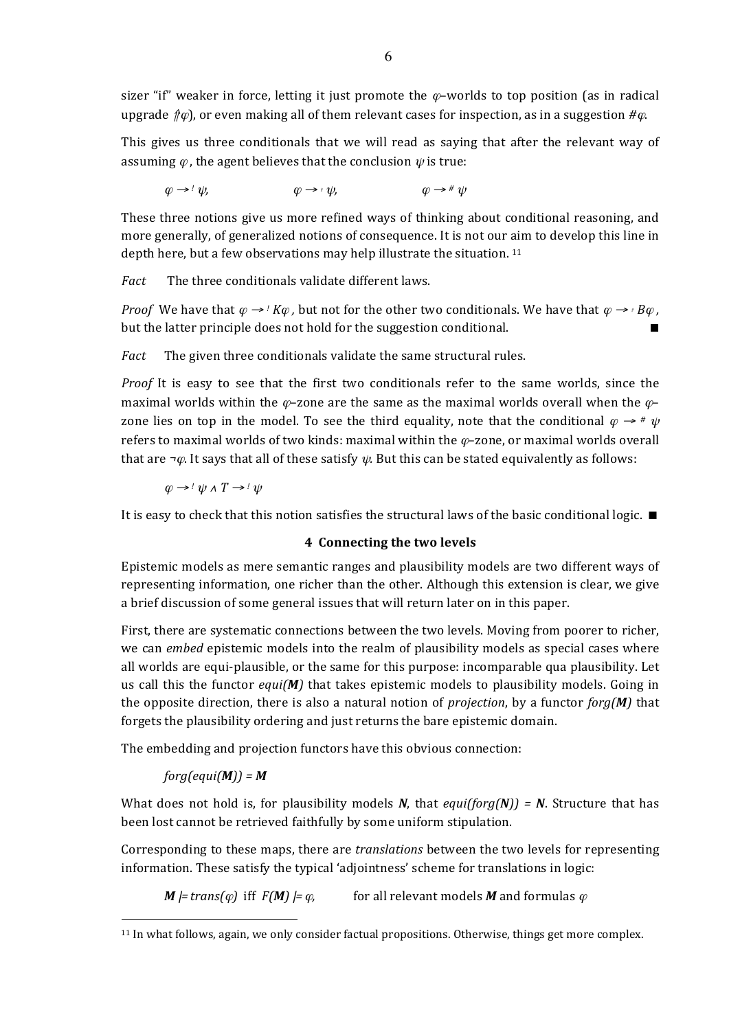sizer "if" weaker in force, letting it just promote the  $\varphi$ -worlds to top position (as in radical upgrade  $f(\varphi)$ , or even making all of them relevant cases for inspection, as in a suggestion  $\#\varphi$ .

This gives us three conditionals that we will read as saying that after the relevant way of assuming  $\varphi$ , the agent believes that the conclusion  $\psi$  is true:

 $\varphi \rightarrow^{\dagger} \psi,$   $\varphi \rightarrow^{\dagger} \psi,$   $\varphi \rightarrow^{\dagger} \psi$ 

These three notions give us more refined ways of thinking about conditional reasoning, and more generally, of generalized notions of consequence. It is not our aim to develop this line in depth here, but a few observations may help illustrate the situation.  $11$ 

*Fact* The three conditionals validate different laws.

*Proof* We have that  $\varphi \rightarrow$  *!*  $K\varphi$ , but not for the other two conditionals. We have that  $\varphi \rightarrow$  *<sub>†</sub> B* $\varphi$ , but the latter principle does not hold for the suggestion conditional.  $\blacksquare$ 

*Fact* The given three conditionals validate the same structural rules.

*Proof* It is easy to see that the first two conditionals refer to the same worlds, since the maximal worlds within the  $\varphi$ –zone are the same as the maximal worlds overall when the  $\varphi$ – zone lies on top in the model. To see the third equality, note that the conditional  $\varphi \rightarrow \pi \psi$ refers to maximal worlds of two kinds: maximal within the  $\varphi$ –zone, or maximal worlds overall that are  $\neg \varphi$ . It says that all of these satisfy  $\psi$ . But this can be stated equivalently as follows:

 $\omega \rightarrow ' \psi \wedge T \rightarrow ' \psi$ 

It is easy to check that this notion satisfies the structural laws of the basic conditional logic.  $\blacksquare$ 

### **4** Connecting the two levels

Epistemic models as mere semantic ranges and plausibility models are two different ways of representing information, one richer than the other. Although this extension is clear, we give a brief discussion of some general issues that will return later on in this paper.

First, there are systematic connections between the two levels. Moving from poorer to richer, we can *embed* epistemic models into the realm of plausibility models as special cases where all worlds are equi-plausible, or the same for this purpose: incomparable qua plausibility. Let us call this the functor  $equi(M)$  that takes epistemic models to plausibility models. Going in the opposite direction, there is also a natural notion of *projection*, by a functor  $forg(M)$  that forgets the plausibility ordering and just returns the bare epistemic domain.

The embedding and projection functors have this obvious connection:

# $forg(equi(M)) = M$

 $\overline{a}$ 

What does not hold is, for plausibility models *N*, that *equi(forg(N))* = *N*. Structure that has been lost cannot be retrieved faithfully by some uniform stipulation.

Corresponding to these maps, there are *translations* between the two levels for representing information. These satisfy the typical 'adjointness' scheme for translations in logic:

*M*  $=$  *trans* $(\varphi)$  iff  $F(M)$   $=$   $\varphi$ , for all relevant models *M* and formulas  $\varphi$ 

 $11$  In what follows, again, we only consider factual propositions. Otherwise, things get more complex.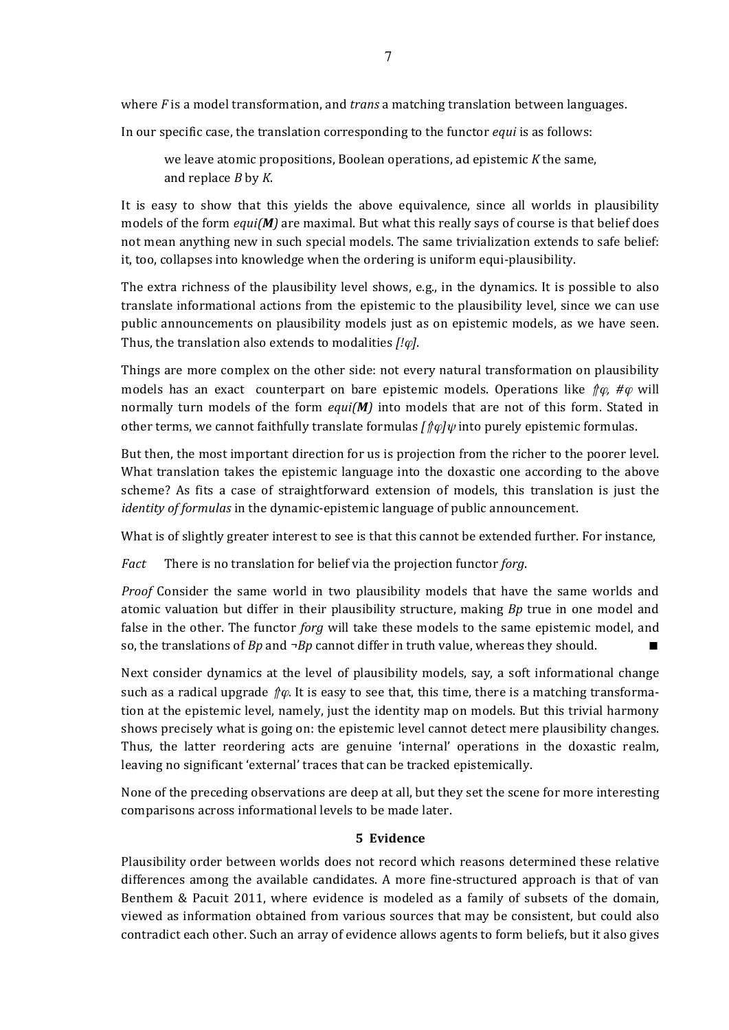where  $F$  is a model transformation, and *trans* a matching translation between languages.

In our specific case, the translation corresponding to the functor *equi* is as follows:

we leave atomic propositions, Boolean operations, ad epistemic *K* the same, and replace *B* by *K*.

It is easy to show that this yields the above equivalence, since all worlds in plausibility models of the form  $equi(M)$  are maximal. But what this really says of course is that belief does not mean anything new in such special models. The same trivialization extends to safe belief: it, too, collapses into knowledge when the ordering is uniform equi-plausibility.

The extra richness of the plausibility level shows, e.g., in the dynamics. It is possible to also translate informational actions from the epistemic to the plausibility level, since we can use public announcements on plausibility models just as on epistemic models, as we have seen. Thus, the translation also extends to modalities [! $\varphi$ ].

Things are more complex on the other side: not every natural transformation on plausibility models has an exact counterpart on bare epistemic models. Operations like  $\oint \varphi$ , # $\varphi$  will normally turn models of the form *equi(M)* into models that are not of this form. Stated in other terms, we cannot faithfully translate formulas  $\int \phi \psi$  into purely epistemic formulas.

But then, the most important direction for us is projection from the richer to the poorer level. What translation takes the epistemic language into the doxastic one according to the above scheme? As fits a case of straightforward extension of models, this translation is just the *identity of formulas* in the dynamic-epistemic language of public announcement.

What is of slightly greater interest to see is that this cannot be extended further. For instance,

*Fact* There is no translation for belief via the projection functor *forg*.

*Proof* Consider the same world in two plausibility models that have the same worlds and atomic valuation but differ in their plausibility structure, making *Bp* true in one model and false in the other. The functor *forg* will take these models to the same epistemic model, and so, the translations of *Bp* and  $\neg$ *Bp* cannot differ in truth value, whereas they should.

Next consider dynamics at the level of plausibility models, say, a soft informational change such as a radical upgrade  $\hat{p}\varphi$ . It is easy to see that, this time, there is a matching transformation at the epistemic level, namely, just the identity map on models. But this trivial harmony shows precisely what is going on: the epistemic level cannot detect mere plausibility changes. Thus, the latter reordering acts are genuine 'internal' operations in the doxastic realm, leaving no significant 'external' traces that can be tracked epistemically.

None of the preceding observations are deep at all, but they set the scene for more interesting comparisons across informational levels to be made later.

## **5 Evidence**

Plausibility order between worlds does not record which reasons determined these relative differences among the available candidates. A more fine-structured approach is that of van Benthem & Pacuit 2011, where evidence is modeled as a family of subsets of the domain, viewed as information obtained from various sources that may be consistent, but could also contradict each other. Such an array of evidence allows agents to form beliefs, but it also gives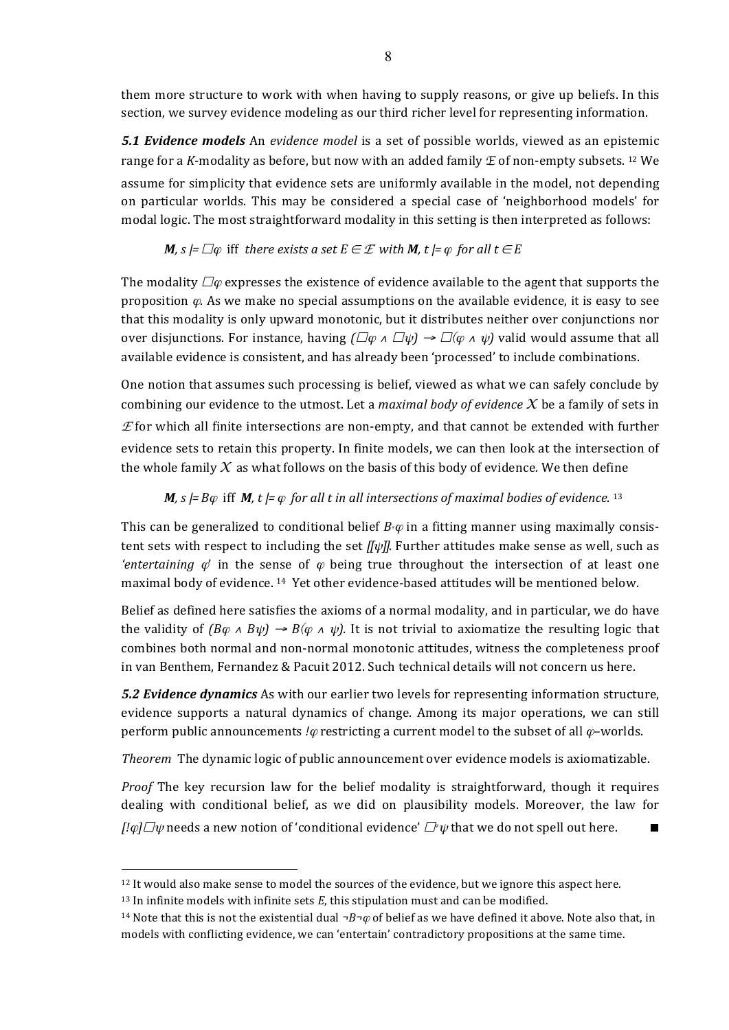them more structure to work with when having to supply reasons, or give up beliefs. In this section, we survey evidence modeling as our third richer level for representing information.

*5.1 Evidence models* An *evidence model* is a set of possible worlds, viewed as an epistemic range for a *K*-modality as before, but now with an added family  $E$  of non-empty subsets. <sup>12</sup> We assume for simplicity that evidence sets are uniformly available in the model, not depending on particular worlds. This may be considered a special case of 'neighborhood models' for modal logic. The most straightforward modality in this setting is then interpreted as follows:

# *M,*  $s \models \Box \varphi$  iff there exists a set  $E \in \mathcal{E}$  with *M,*  $t \models \varphi$  for all  $t \in E$

The modality  $\Box \varphi$  expresses the existence of evidence available to the agent that supports the proposition  $\varphi$ . As we make no special assumptions on the available evidence, it is easy to see that this modality is only upward monotonic, but it distributes neither over conjunctions nor over disjunctions. For instance, having  $(\Box \varphi \land \Box \psi) \rightarrow \Box (\varphi \land \psi)$  valid would assume that all available evidence is consistent, and has already been 'processed' to include combinations.

One notion that assumes such processing is belief, viewed as what we can safely conclude by combining our evidence to the utmost. Let a *maximal body* of evidence  $X$  be a family of sets in  $E$  for which all finite intersections are non-empty, and that cannot be extended with further evidence sets to retain this property. In finite models, we can then look at the intersection of the whole family  $X$  as what follows on the basis of this body of evidence. We then define

# *M*, *s*  $|=$  *B* $\varphi$  iff *M*, *t*  $|=$   $\varphi$  for all *t* in all intersections of maximal bodies of evidence. <sup>13</sup>

This can be generalized to conditional belief  $B_\nu \varphi$  in a fitting manner using maximally consistent sets with respect to including the set  $\eta[\psi]\$ . Further attitudes make sense as well, such as *'entertaining*  $\varphi$ ' in the sense of  $\varphi$  being true throughout the intersection of at least one maximal body of evidence. <sup>14</sup> Yet other evidence-based attitudes will be mentioned below.

Belief as defined here satisfies the axioms of a normal modality, and in particular, we do have the validity of  $(B\varphi \wedge B\psi) \rightarrow B(\varphi \wedge \psi)$ . It is not trivial to axiomatize the resulting logic that combines both normal and non-normal monotonic attitudes, witness the completeness proof in van Benthem, Fernandez & Pacuit 2012. Such technical details will not concern us here.

**5.2 Evidence dynamics** As with our earlier two levels for representing information structure, evidence supports a natural dynamics of change. Among its major operations, we can still perform public announcements *!* $\varphi$  restricting a current model to the subset of all  $\varphi$ -worlds.

*Theorem* The dynamic logic of public announcement over evidence models is axiomatizable.

*Proof* The key recursion law for the belief modality is straightforward, though it requires dealing with conditional belief, as we did on plausibility models. Moreover, the law for  $[! \varphi] \Box \psi$  needs a new notion of 'conditional evidence'  $\Box^* \psi$  that we do not spell out here.

<sup>&</sup>lt;sup>12</sup> It would also make sense to model the sources of the evidence, but we ignore this aspect here.

<sup>&</sup>lt;sup>13</sup> In infinite models with infinite sets  $E$ , this stipulation must and can be modified.

<sup>&</sup>lt;sup>14</sup> Note that this is not the existential dual  $\neg B\neg\varphi$  of belief as we have defined it above. Note also that, in models with conflicting evidence, we can 'entertain' contradictory propositions at the same time.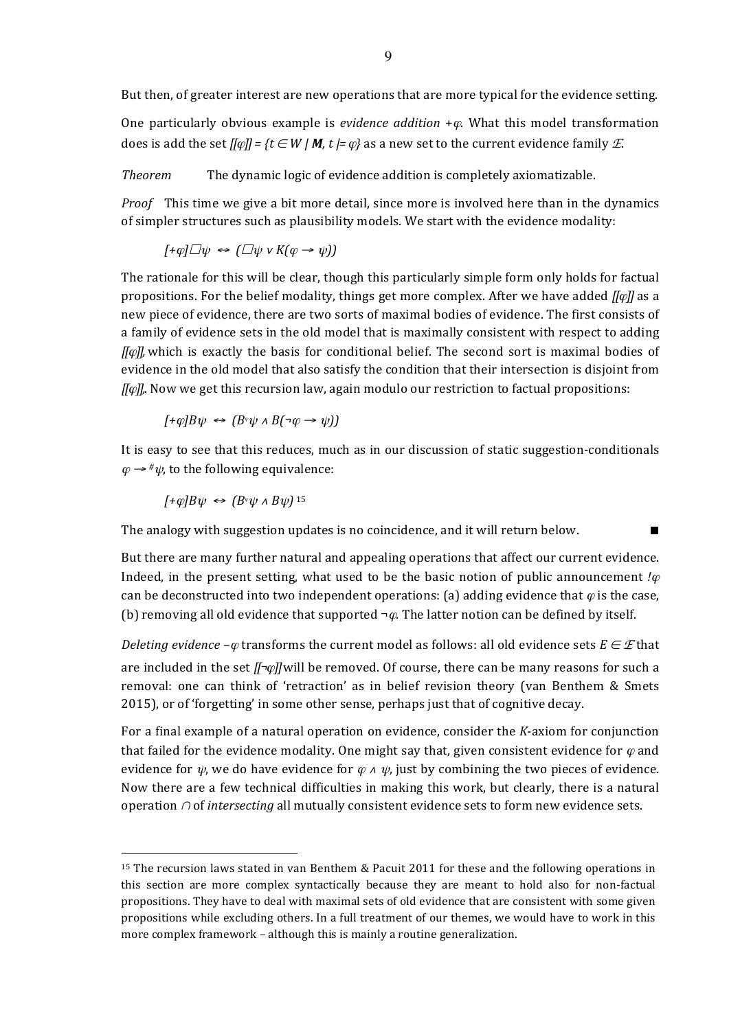But then, of greater interest are new operations that are more typical for the evidence setting.

One particularly obvious example is *evidence addition* + $\varphi$ . What this model transformation does is add the set  $[[\varphi]] = \{t \in W \mid M, t \models \varphi\}$  as a new set to the current evidence family  $E$ .

*Theorem* The dynamic logic of evidence addition is completely axiomatizable.

*Proof* This time we give a bit more detail, since more is involved here than in the dynamics of simpler structures such as plausibility models. We start with the evidence modality:

$$
[+\varphi]\Box\psi \Leftrightarrow (\Box\psi \vee K(\varphi \rightarrow \psi))
$$

The rationale for this will be clear, though this particularly simple form only holds for factual propositions. For the belief modality, things get more complex. After we have added  $\sqrt{N\varphi}$  as a new piece of evidence, there are two sorts of maximal bodies of evidence. The first consists of a family of evidence sets in the old model that is maximally consistent with respect to adding *[[* $\varphi$ *]]*, which is exactly the basis for conditional belief. The second sort is maximal bodies of evidence in the old model that also satisfy the condition that their intersection is disjoint from *[[* $\varphi$ *]]*, Now we get this recursion law, again modulo our restriction to factual propositions:

$$
[ + \varphi] B \psi \leftrightarrow (B^{\varphi} \psi \land B(\neg \varphi \rightarrow \psi))
$$

It is easy to see that this reduces, much as in our discussion of static suggestion-conditionals  $\varphi \rightarrow \# \psi$ , to the following equivalence:

 $[+ \varphi] B \psi \leftrightarrow (B^{\varphi} \psi \wedge B \psi)$ <sup>15</sup>

 $\overline{a}$ 

The analogy with suggestion updates is no coincidence, and it will return below.  $\blacksquare$ 

But there are many further natural and appealing operations that affect our current evidence. Indeed, in the present setting, what used to be the basic notion of public announcement *!* $\varphi$ can be deconstructed into two independent operations: (a) adding evidence that  $\varphi$  is the case, (b) removing all old evidence that supported  $\neg \varphi$ . The latter notion can be defined by itself.

*Deleting* evidence  $-\varphi$  transforms the current model as follows: all old evidence sets  $E \in \mathcal{E}$  that are included in the set *[[¬* $\varphi$ *]*] will be removed. Of course, there can be many reasons for such a removal: one can think of 'retraction' as in belief revision theory (van Benthem & Smets 2015), or of 'forgetting' in some other sense, perhaps just that of cognitive decay.

For a final example of a natural operation on evidence, consider the *K*-axiom for conjunction that failed for the evidence modality. One might say that, given consistent evidence for  $\varphi$  and evidence for  $\psi$ , we do have evidence for  $\varphi \wedge \psi$ , just by combining the two pieces of evidence. Now there are a few technical difficulties in making this work, but clearly, there is a natural operation ∩ of *intersecting* all mutually consistent evidence sets to form new evidence sets.

<sup>&</sup>lt;sup>15</sup> The recursion laws stated in van Benthem & Pacuit 2011 for these and the following operations in this section are more complex syntactically because they are meant to hold also for non-factual propositions. They have to deal with maximal sets of old evidence that are consistent with some given propositions while excluding others. In a full treatment of our themes, we would have to work in this more complex framework  $-$  although this is mainly a routine generalization.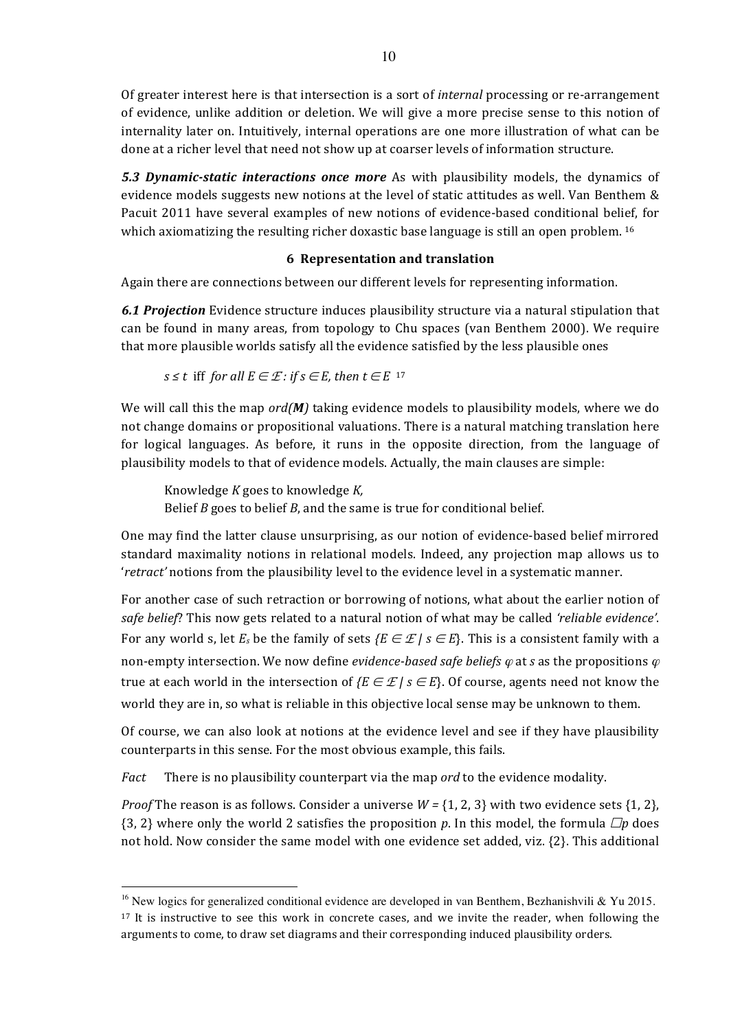Of greater interest here is that intersection is a sort of *internal* processing or re-arrangement of evidence, unlike addition or deletion. We will give a more precise sense to this notion of internality later on. Intuitively, internal operations are one more illustration of what can be done at a richer level that need not show up at coarser levels of information structure.

**5.3 Dynamic-static interactions once more** As with plausibility models, the dynamics of evidence models suggests new notions at the level of static attitudes as well. Van Benthem  $\&$ Pacuit 2011 have several examples of new notions of evidence-based conditional belief, for which axiomatizing the resulting richer doxastic base language is still an open problem. <sup>16</sup>

# **6 Representation and translation**

Again there are connections between our different levels for representing information.

**6.1 Projection** Evidence structure induces plausibility structure via a natural stipulation that can be found in many areas, from topology to Chu spaces (van Benthem 2000). We require that more plausible worlds satisfy all the evidence satisfied by the less plausible ones

*s* ≤ *t* iff *for all*  $E \in \mathcal{E}$  *: if s* ∈ *E, then*  $t \in E$  <sup>17</sup>

We will call this the map *ord(M)* taking evidence models to plausibility models, where we do not change domains or propositional valuations. There is a natural matching translation here for logical languages. As before, it runs in the opposite direction, from the language of plausibility models to that of evidence models. Actually, the main clauses are simple:

Knowledge *K* goes to knowledge *K,* Belief  $B$  goes to belief  $B$ , and the same is true for conditional belief.

One may find the latter clause unsurprising, as our notion of evidence-based belief mirrored standard maximality notions in relational models. Indeed, any projection map allows us to '*retract'* notions from the plausibility level to the evidence level in a systematic manner.

For another case of such retraction or borrowing of notions, what about the earlier notion of safe belief? This now gets related to a natural notion of what may be called 'reliable evidence'. For any world s, let  $E_s$  be the family of sets  $\{E \in \mathcal{L} \mid s \in E\}$ . This is a consistent family with a non-empty intersection. We now define *evidence-based safe beliefs*  $\varphi$  at *s* as the propositions  $\varphi$ true at each world in the intersection of  $\{E \in \mathcal{L} \mid s \in E\}$ . Of course, agents need not know the world they are in, so what is reliable in this objective local sense may be unknown to them.

Of course, we can also look at notions at the evidence level and see if they have plausibility counterparts in this sense. For the most obvious example, this fails.

*Fact* There is no plausibility counterpart via the map *ord* to the evidence modality.

*Proof* The reason is as follows. Consider a universe  $W = \{1, 2, 3\}$  with two evidence sets  $\{1, 2\}$ , {3, 2} where only the world 2 satisfies the proposition *p*. In this model, the formula  $\Box p$  does not hold. Now consider the same model with one evidence set added, viz.  $\{2\}$ . This additional

<sup>&</sup>lt;sup>16</sup> New logics for generalized conditional evidence are developed in van Benthem, Bezhanishvili & Yu 2015.  $17$  It is instructive to see this work in concrete cases, and we invite the reader, when following the arguments to come, to draw set diagrams and their corresponding induced plausibility orders.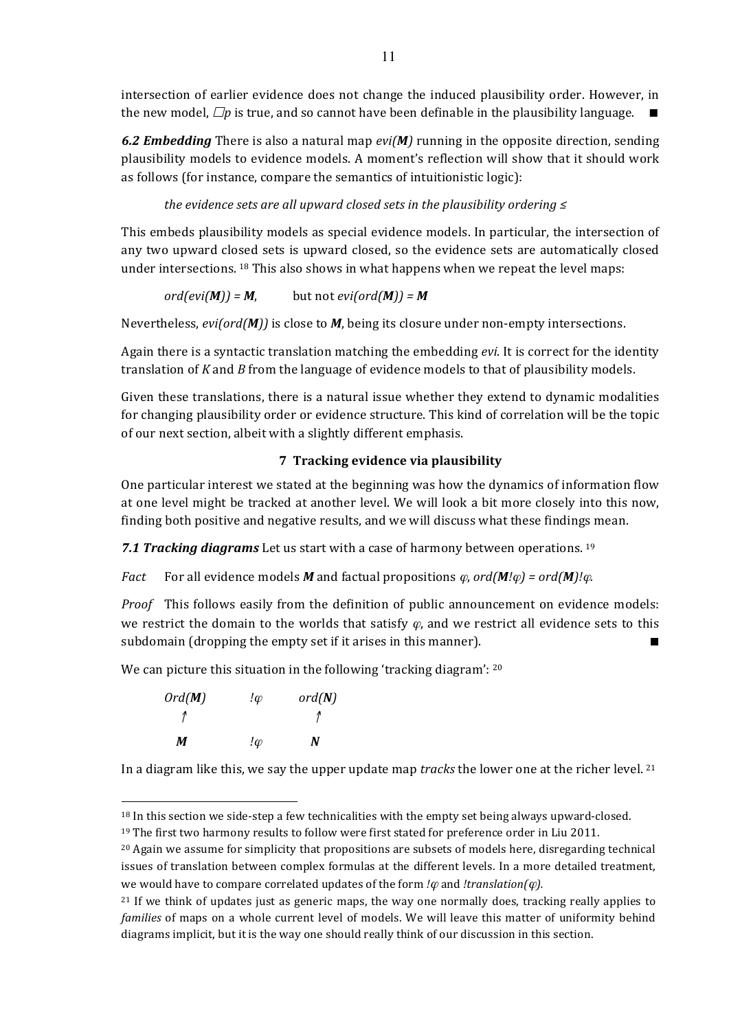intersection of earlier evidence does not change the induced plausibility order. However, in the new model,  $\Box p$  is true, and so cannot have been definable in the plausibility language.  $\Box$ 

6.2 **Embedding** There is also a natural map  $evi(M)$  running in the opposite direction, sending plausibility models to evidence models. A moment's reflection will show that it should work as follows (for instance, compare the semantics of intuitionistic logic):

## *the evidence sets are all upward closed sets in the plausibility ordering* ≤

This embeds plausibility models as special evidence models. In particular, the intersection of any two upward closed sets is upward closed, so the evidence sets are automatically closed under intersections.  $18$  This also shows in what happens when we repeat the level maps:

$$
ord(evi(M)) = M, \qquad \text{but not } evi(ord(M)) = M
$$

Nevertheless, *evi(ord(M))* is close to *M*, being its closure under non-empty intersections.

Again there is a syntactic translation matching the embedding *evi*. It is correct for the identity translation of *K* and *B* from the language of evidence models to that of plausibility models.

Given these translations, there is a natural issue whether they extend to dynamic modalities for changing plausibility order or evidence structure. This kind of correlation will be the topic of our next section, albeit with a slightly different emphasis.

## **7 Tracking evidence via plausibility**

One particular interest we stated at the beginning was how the dynamics of information flow at one level might be tracked at another level. We will look a bit more closely into this now, finding both positive and negative results, and we will discuss what these findings mean.

**7.1 Tracking diagrams** Let us start with a case of harmony between operations. <sup>19</sup>

*Fact* For all evidence models *M* and factual propositions  $\varphi$ , ord(*M!* $\varphi$ ) = ord(*M)!* $\varphi$ .

*Proof* This follows easily from the definition of public announcement on evidence models: we restrict the domain to the worlds that satisfy  $\varphi$ , and we restrict all evidence sets to this subdomain (dropping the empty set if it arises in this manner).

We can picture this situation in the following 'tracking diagram':  $20$ 

| $Ord(M)$   | !\varphi   | $ord(N)$ |
|------------|------------|----------|
| $\uparrow$ | $\uparrow$ |          |
| $M$        | !\varphi   | $N$      |

 $\overline{a}$ 

In a diagram like this, we say the upper update map *tracks* the lower one at the richer level.  $21$ 

 $18$  In this section we side-step a few technicalities with the empty set being always upward-closed.

<sup>&</sup>lt;sup>19</sup> The first two harmony results to follow were first stated for preference order in Liu 2011.

<sup>&</sup>lt;sup>20</sup> Again we assume for simplicity that propositions are subsets of models here, disregarding technical issues of translation between complex formulas at the different levels. In a more detailed treatment, we would have to compare correlated updates of the form  $\ell\varphi$  and  $\ell$ *translation(* $\varphi$ *).* 

 $21$  If we think of updates just as generic maps, the way one normally does, tracking really applies to *families* of maps on a whole current level of models. We will leave this matter of uniformity behind diagrams implicit, but it is the way one should really think of our discussion in this section.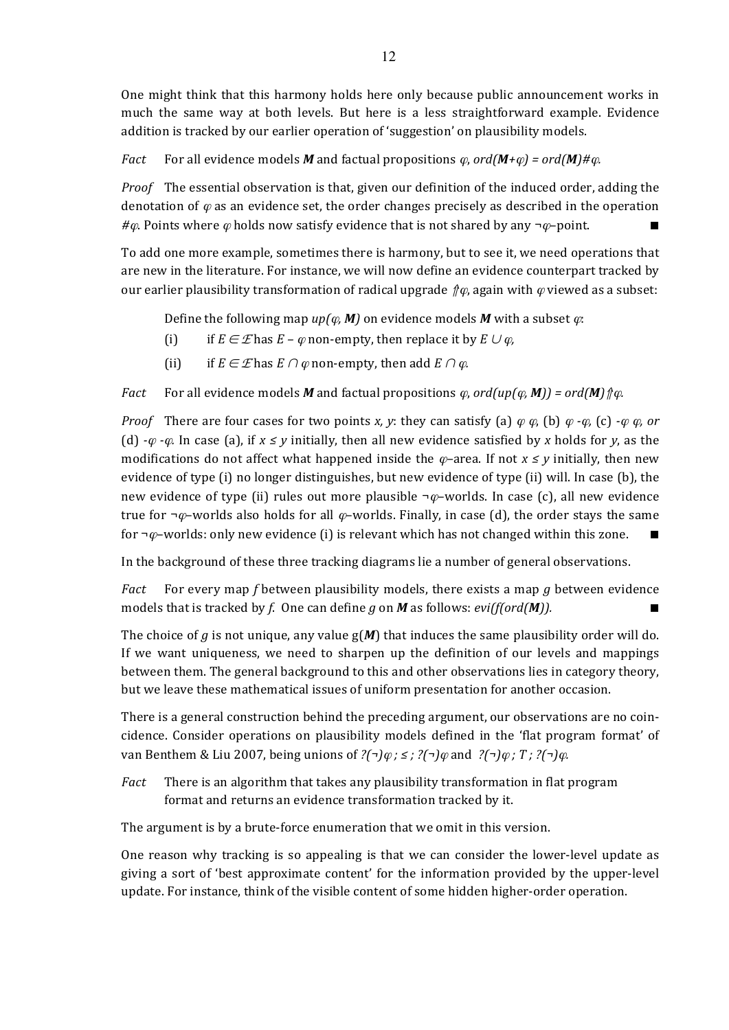One might think that this harmony holds here only because public announcement works in much the same way at both levels. But here is a less straightforward example. Evidence addition is tracked by our earlier operation of 'suggestion' on plausibility models.

*Fact* For all evidence models *M* and factual propositions  $\varphi$ ,  $\sigma d(M+\varphi) = \sigma d(M) \# \varphi$ .

*Proof* The essential observation is that, given our definition of the induced order, adding the denotation of  $\varphi$  as an evidence set, the order changes precisely as described in the operation  $\#\varphi$ . Points where  $\varphi$  holds now satisfy evidence that is not shared by any  $\neg \varphi$ –point.

To add one more example, sometimes there is harmony, but to see it, we need operations that are new in the literature. For instance, we will now define an evidence counterpart tracked by our earlier plausibility transformation of radical upgrade  $\hat{\psi}$ , again with  $\varphi$  viewed as a subset:

Define the following map  $up(\varphi, M)$  on evidence models M with a subset  $\varphi$ :

- (i) if  $E \in \mathcal{E}$  has  $E \varphi$  non-empty, then replace it by  $E \cup \varphi$ ,
- (ii) if  $E \in \mathcal{E}$  has  $E \cap \varphi$  non-empty, then add  $E \cap \varphi$ .

*Fact* For all evidence models *M* and factual propositions  $\varphi$ , ord(up( $\varphi$ , **M**)) = ord(**M**)  $\Uparrow \varphi$ *.* 

*Proof* There are four cases for two points *x, y*: they can satisfy (a)  $\varphi \varphi$ , (b)  $\varphi \cdot \varphi$ , (c)  $\cdot \varphi \varphi$ , or (d)  $-\varphi$  *-* $\varphi$ . In case (a), if  $x \leq y$  initially, then all new evidence satisfied by x holds for *y*, as the modifications do not affect what happened inside the  $\varphi$ –area. If not  $x \leq y$  initially, then new evidence of type  $(i)$  no longer distinguishes, but new evidence of type  $(ii)$  will. In case  $(b)$ , the new evidence of type (ii) rules out more plausible  $\neg \varphi$ –worlds. In case (c), all new evidence true for  $\neg \varphi$ –worlds also holds for all  $\varphi$ –worlds. Finally, in case (d), the order stays the same for  $\neg \varphi$ -worlds: only new evidence (i) is relevant which has not changed within this zone.

In the background of these three tracking diagrams lie a number of general observations.

*Fact* For every map *f* between plausibility models, there exists a map *g* between evidence models that is tracked by *f*. One can define *g* on *M* as follows:  $evifford(M)$ .

The choice of *g* is not unique, any value  $g(M)$  that induces the same plausibility order will do. If we want uniqueness, we need to sharpen up the definition of our levels and mappings between them. The general background to this and other observations lies in category theory, but we leave these mathematical issues of uniform presentation for another occasion.

There is a general construction behind the preceding argument, our observations are no coincidence. Consider operations on plausibility models defined in the 'flat program format' of van Benthem & Liu 2007, being unions of *?(¬)*<sup>ϕ</sup> *; ≤ ; ?(¬)*<sup>ϕ</sup> and *?(¬)*<sup>ϕ</sup> *; T ; ?(¬)*ϕ*.*

*Fact* There is an algorithm that takes any plausibility transformation in flat program format and returns an evidence transformation tracked by it.

The argument is by a brute-force enumeration that we omit in this version.

One reason why tracking is so appealing is that we can consider the lower-level update as giving a sort of 'best approximate content' for the information provided by the upper-level update. For instance, think of the visible content of some hidden higher-order operation.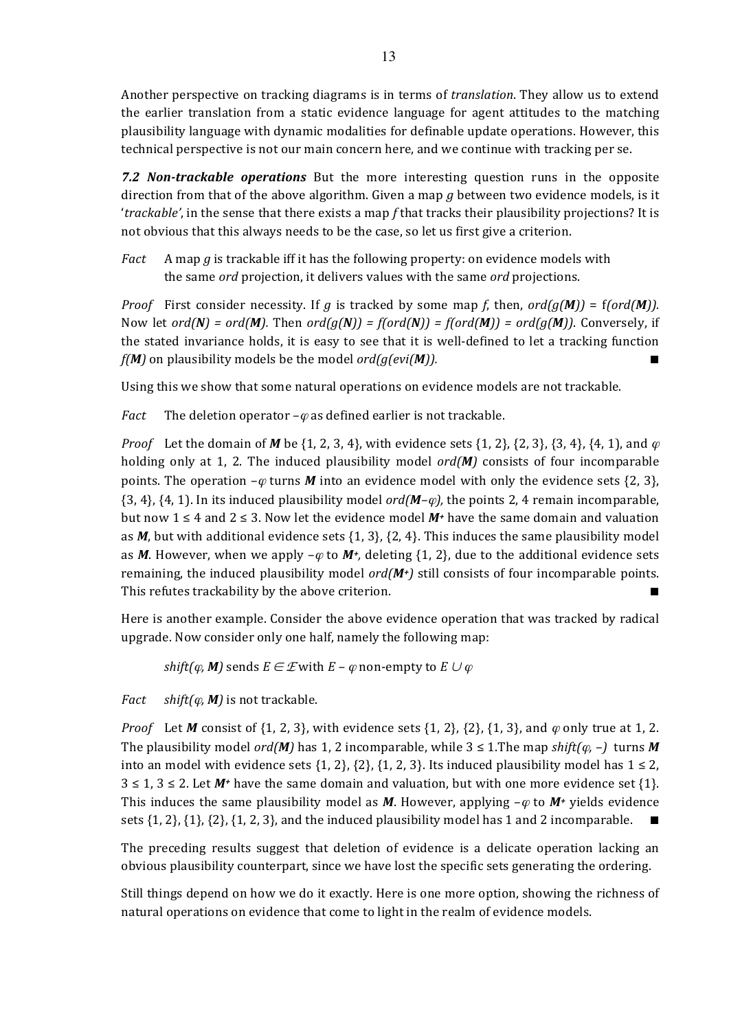Another perspective on tracking diagrams is in terms of *translation*. They allow us to extend the earlier translation from a static evidence language for agent attitudes to the matching plausibility language with dynamic modalities for definable update operations. However, this technical perspective is not our main concern here, and we continue with tracking per se.

**7.2 Non-trackable operations** But the more interesting question runs in the opposite direction from that of the above algorithm. Given a map  $g$  between two evidence models, is it *'trackable'*, in the sense that there exists a map *f* that tracks their plausibility projections? It is not obvious that this always needs to be the case, so let us first give a criterion.

*Fact* A map g is trackable iff it has the following property: on evidence models with the same *ord* projection, it delivers values with the same *ord* projections.

*Proof* First consider necessity. If *g* is tracked by some map *f*, then,  $\sigma d(q(\mathbf{M})) = f(\sigma d(\mathbf{M}))$ . Now let  $ord(N) = ord(M)$ . Then  $ord(g(N)) = f(ord(N)) = f(ord(M)) = ord(g(M))$ . Conversely, if the stated invariance holds, it is easy to see that it is well-defined to let a tracking function  $f(M)$  on plausibility models be the model  $ord(g(evi(M))$ .

Using this we show that some natural operations on evidence models are not trackable.

*Fact* The deletion operator  $-\varphi$  as defined earlier is not trackable.

*Proof* Let the domain of *M* be  $\{1, 2, 3, 4\}$ , with evidence sets  $\{1, 2\}$ ,  $\{2, 3\}$ ,  $\{3, 4\}$ ,  $\{4, 1\}$ , and  $\varphi$ holding only at 1, 2. The induced plausibility model  $ord(M)$  consists of four incomparable points. The operation  $-\varphi$  turns *M* into an evidence model with only the evidence sets {2, 3},  $\{3, 4\}$ ,  $\{4, 1\}$ . In its induced plausibility model  $\text{ord}(M-\varphi)$ , the points 2, 4 remain incomparable, but now 1 ≤ 4 and 2 ≤ 3. Now let the evidence model  $M^+$  have the same domain and valuation as  $M$ , but with additional evidence sets  $\{1, 3\}$ ,  $\{2, 4\}$ . This induces the same plausibility model as *M*. However, when we apply  $-\varphi$  to *M*<sup>*+*</sup>, deleting {1, 2}, due to the additional evidence sets remaining, the induced plausibility model  $ord(M<sup>+</sup>)$  still consists of four incomparable points. This refutes trackability by the above criterion.

Here is another example. Consider the above evidence operation that was tracked by radical upgrade. Now consider only one half, namely the following map:

*shift(* $\varphi$ *, M)* sends  $E \in \mathcal{E}$  with  $E - \varphi$  non-empty to  $E \cup \varphi$ 

*Fact shift(* $\varphi$ *, M)* is not trackable.

*Proof* Let *M* consist of  $\{1, 2, 3\}$ , with evidence sets  $\{1, 2\}$ ,  $\{2\}$ ,  $\{1, 3\}$ , and  $\varphi$  only true at 1, 2. The plausibility model *ord(M)* has 1, 2 incomparable, while  $3 \le 1$ . The map *shift(* $\varphi$ *,* –) turns *M* into an model with evidence sets  $\{1, 2\}$ ,  $\{2\}$ ,  $\{1, 2, 3\}$ . Its induced plausibility model has  $1 \le 2$ ,  $3 \leq 1, 3 \leq 2$ . Let *M*<sup>+</sup> have the same domain and valuation, but with one more evidence set {1}. This induces the same plausibility model as *M*. However, applying  $-\varphi$  to *M+* yields evidence sets  $\{1, 2\}, \{1\}, \{2\}, \{1, 2, 3\},$  and the induced plausibility model has 1 and 2 incomparable.

The preceding results suggest that deletion of evidence is a delicate operation lacking an obvious plausibility counterpart, since we have lost the specific sets generating the ordering.

Still things depend on how we do it exactly. Here is one more option, showing the richness of natural operations on evidence that come to light in the realm of evidence models.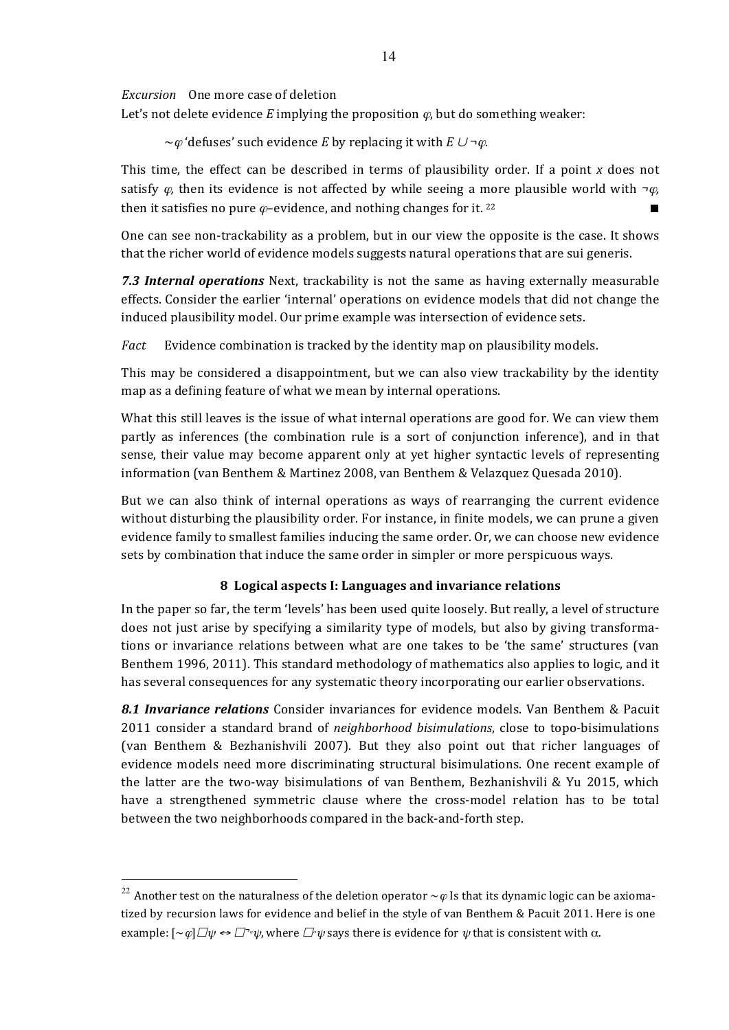*Excursion* One more case of deletion

Let's not delete evidence  $E$  implying the proposition  $\varphi$ , but do something weaker:

 $\sim$ *ϕ* 'defuses' such evidence *E* by replacing it with *E*  $\cup \neg \varphi$ .

This time, the effect can be described in terms of plausibility order. If a point *x* does not satisfy  $\varphi$ , then its evidence is not affected by while seeing a more plausible world with  $\neg \varphi$ , then it satisfies no pure  $\varphi$ -evidence, and nothing changes for it. <sup>22</sup>

One can see non-trackability as a problem, but in our view the opposite is the case. It shows that the richer world of evidence models suggests natural operations that are sui generis.

**7.3 Internal operations** Next, trackability is not the same as having externally measurable effects. Consider the earlier 'internal' operations on evidence models that did not change the induced plausibility model. Our prime example was intersection of evidence sets.

*Fact* Evidence combination is tracked by the identity map on plausibility models.

This may be considered a disappointment, but we can also view trackability by the identity map as a defining feature of what we mean by internal operations.

What this still leaves is the issue of what internal operations are good for. We can view them partly as inferences (the combination rule is a sort of conjunction inference), and in that sense, their value may become apparent only at yet higher syntactic levels of representing information (van Benthem & Martinez 2008, van Benthem & Velazquez Quesada 2010).

But we can also think of internal operations as ways of rearranging the current evidence without disturbing the plausibility order. For instance, in finite models, we can prune a given evidence family to smallest families inducing the same order. Or, we can choose new evidence sets by combination that induce the same order in simpler or more perspicuous ways.

# **8 Logical aspects I: Languages and invariance relations**

In the paper so far, the term 'levels' has been used quite loosely. But really, a level of structure does not just arise by specifying a similarity type of models, but also by giving transformations or invariance relations between what are one takes to be 'the same' structures (van Benthem 1996, 2011). This standard methodology of mathematics also applies to logic, and it has several consequences for any systematic theory incorporating our earlier observations.

**8.1 Invariance relations** Consider invariances for evidence models. Van Benthem & Pacuit 2011 consider a standard brand of *neighborhood bisimulations*, close to topo-bisimulations (van Benthem & Bezhanishvili 2007). But they also point out that richer languages of evidence models need more discriminating structural bisimulations. One recent example of the latter are the two-way bisimulations of van Benthem, Bezhanishvili & Yu 2015, which have a strengthened symmetric clause where the cross-model relation has to be total between the two neighborhoods compared in the back-and-forth step.

<sup>&</sup>lt;sup>22</sup> Another test on the naturalness of the deletion operator  $\sim\varphi$  Is that its dynamic logic can be axiomatized by recursion laws for evidence and belief in the style of van Benthem & Pacuit 2011. Here is one example:  $\lceil \sim \varphi \rceil \Box \psi \leftrightarrow \Box^* \psi$ , where  $\Box^* \psi$  says there is evidence for  $\psi$  that is consistent with  $\alpha$ .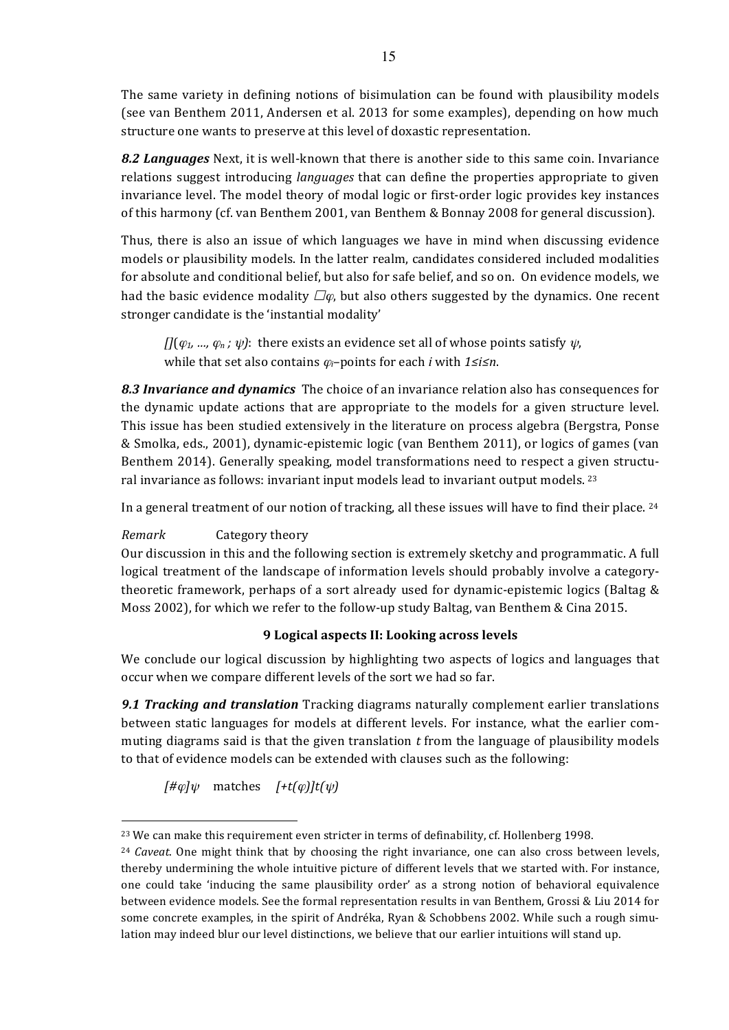The same variety in defining notions of bisimulation can be found with plausibility models (see van Benthem 2011, Andersen et al. 2013 for some examples), depending on how much structure one wants to preserve at this level of doxastic representation.

**8.2 Languages** Next, it is well-known that there is another side to this same coin. Invariance relations suggest introducing *languages* that can define the properties appropriate to given invariance level. The model theory of modal logic or first-order logic provides key instances of this harmony (cf. van Benthem 2001, van Benthem & Bonnay 2008 for general discussion).

Thus, there is also an issue of which languages we have in mind when discussing evidence models or plausibility models. In the latter realm, candidates considered included modalities for absolute and conditional belief, but also for safe belief, and so on. On evidence models, we had the basic evidence modality  $\square \varphi$ , but also others suggested by the dynamics. One recent stronger candidate is the 'instantial modality'

 $\iint (\varphi_1, \ldots, \varphi_n; \psi)$ : there exists an evidence set all of whose points satisfy  $\psi$ , while that set also contains  $\varphi$ <sub>*i*</sub>–points for each *i* with 1≤*i≤n*.

**8.3 Invariance and dynamics** The choice of an invariance relation also has consequences for the dynamic update actions that are appropriate to the models for a given structure level. This issue has been studied extensively in the literature on process algebra (Bergstra, Ponse & Smolka, eds., 2001), dynamic-epistemic logic (van Benthem 2011), or logics of games (van Benthem 2014). Generally speaking, model transformations need to respect a given structural invariance as follows: invariant input models lead to invariant output models.<sup>23</sup>

In a general treatment of our notion of tracking, all these issues will have to find their place.  $24$ 

# *Remark* **Category theory**

Our discussion in this and the following section is extremely sketchy and programmatic. A full logical treatment of the landscape of information levels should probably involve a categorytheoretic framework, perhaps of a sort already used for dynamic-epistemic logics (Baltag  $\&$ Moss 2002), for which we refer to the follow-up study Baltag, van Benthem & Cina 2015.

# **9 Logical aspects II: Looking across levels**

We conclude our logical discussion by highlighting two aspects of logics and languages that occur when we compare different levels of the sort we had so far.

**9.1 Tracking and translation** Tracking diagrams naturally complement earlier translations between static languages for models at different levels. For instance, what the earlier commuting diagrams said is that the given translation  $t$  from the language of plausibility models to that of evidence models can be extended with clauses such as the following:

 $[$ # $\varphi$  $\psi$  matches  $[+t(\varphi)]t(\psi)$ 

 $23$  We can make this requirement even stricter in terms of definability, cf. Hollenberg 1998.

 $24$  *Caveat*. One might think that by choosing the right invariance, one can also cross between levels. thereby undermining the whole intuitive picture of different levels that we started with. For instance, one could take 'inducing the same plausibility order' as a strong notion of behavioral equivalence between evidence models. See the formal representation results in van Benthem, Grossi & Liu 2014 for some concrete examples, in the spirit of Andréka, Ryan & Schobbens 2002. While such a rough simulation may indeed blur our level distinctions, we believe that our earlier intuitions will stand up.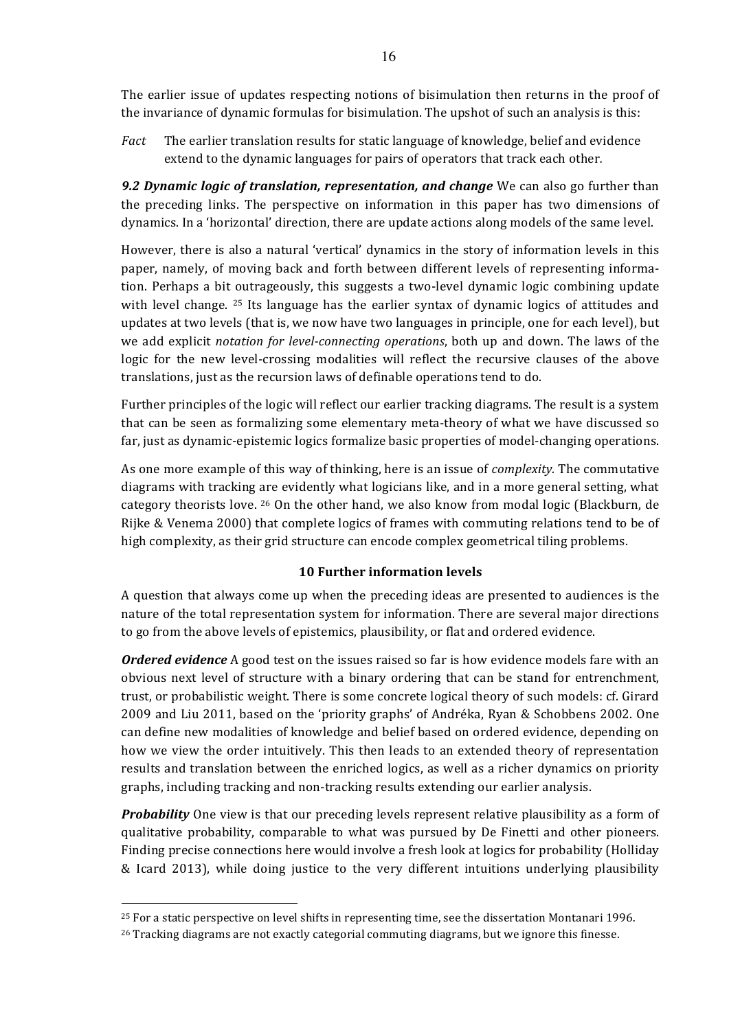The earlier issue of updates respecting notions of bisimulation then returns in the proof of the invariance of dynamic formulas for bisimulation. The upshot of such an analysis is this:

*Fact* The earlier translation results for static language of knowledge, belief and evidence extend to the dynamic languages for pairs of operators that track each other.

**9.2 Dynamic logic of translation, representation, and change** We can also go further than the preceding links. The perspective on information in this paper has two dimensions of dynamics. In a 'horizontal' direction, there are update actions along models of the same level.

However, there is also a natural 'vertical' dynamics in the story of information levels in this paper, namely, of moving back and forth between different levels of representing information. Perhaps a bit outrageously, this suggests a two-level dynamic logic combining update with level change.  $25$  Its language has the earlier syntax of dynamic logics of attitudes and updates at two levels (that is, we now have two languages in principle, one for each level), but we add explicit *notation for level-connecting operations*, both up and down. The laws of the logic for the new level-crossing modalities will reflect the recursive clauses of the above translations, just as the recursion laws of definable operations tend to do.

Further principles of the logic will reflect our earlier tracking diagrams. The result is a system that can be seen as formalizing some elementary meta-theory of what we have discussed so far, just as dynamic-epistemic logics formalize basic properties of model-changing operations.

As one more example of this way of thinking, here is an issue of *complexity*. The commutative diagrams with tracking are evidently what logicians like, and in a more general setting, what category theorists love.  $^{26}$  On the other hand, we also know from modal logic (Blackburn, de Rijke & Venema 2000) that complete logics of frames with commuting relations tend to be of high complexity, as their grid structure can encode complex geometrical tiling problems.

# **10 Further information levels**

A question that always come up when the preceding ideas are presented to audiences is the nature of the total representation system for information. There are several major directions to go from the above levels of epistemics, plausibility, or flat and ordered evidence.

**Ordered evidence** A good test on the issues raised so far is how evidence models fare with an obvious next level of structure with a binary ordering that can be stand for entrenchment, trust, or probabilistic weight. There is some concrete logical theory of such models: cf. Girard 2009 and Liu 2011, based on the 'priority graphs' of Andréka, Ryan & Schobbens 2002. One can define new modalities of knowledge and belief based on ordered evidence, depending on how we view the order intuitively. This then leads to an extended theory of representation results and translation between the enriched logics, as well as a richer dynamics on priority graphs, including tracking and non-tracking results extending our earlier analysis.

**Probability** One view is that our preceding levels represent relative plausibility as a form of qualitative probability, comparable to what was pursued by De Finetti and other pioneers. Finding precise connections here would involve a fresh look at logics for probability (Holliday & Icard 2013), while doing justice to the very different intuitions underlying plausibility

 $25$  For a static perspective on level shifts in representing time, see the dissertation Montanari 1996.

 $^{26}$  Tracking diagrams are not exactly categorial commuting diagrams, but we ignore this finesse.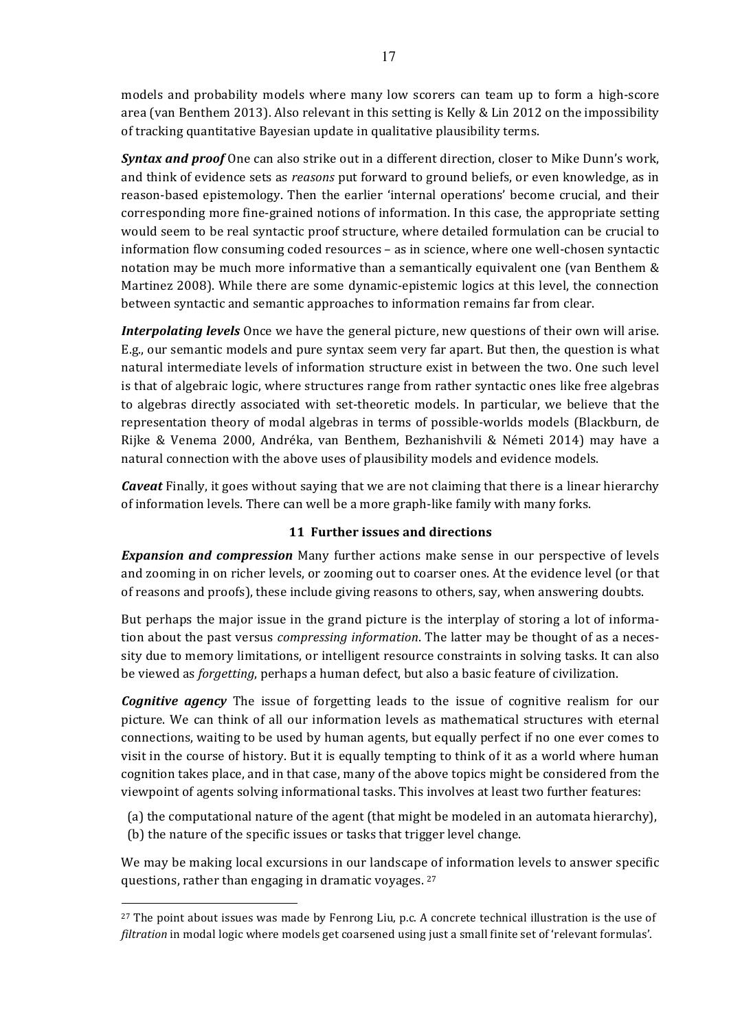models and probability models where many low scorers can team up to form a high-score area (van Benthem 2013). Also relevant in this setting is Kelly & Lin 2012 on the impossibility of tracking quantitative Bayesian update in qualitative plausibility terms.

*Syntax and proof* One can also strike out in a different direction, closer to Mike Dunn's work, and think of evidence sets as *reasons* put forward to ground beliefs, or even knowledge, as in reason-based epistemology. Then the earlier 'internal operations' become crucial, and their corresponding more fine-grained notions of information. In this case, the appropriate setting would seem to be real syntactic proof structure, where detailed formulation can be crucial to information flow consuming coded resources – as in science, where one well-chosen syntactic notation may be much more informative than a semantically equivalent one (van Benthem  $\&$ Martinez 2008). While there are some dynamic-epistemic logics at this level, the connection between syntactic and semantic approaches to information remains far from clear.

*Interpolating levels* Once we have the general picture, new questions of their own will arise. E.g., our semantic models and pure syntax seem very far apart. But then, the question is what natural intermediate levels of information structure exist in between the two. One such level is that of algebraic logic, where structures range from rather syntactic ones like free algebras to algebras directly associated with set-theoretic models. In particular, we believe that the representation theory of modal algebras in terms of possible-worlds models (Blackburn, de Rijke & Venema 2000, Andréka, van Benthem, Bezhanishvili & Németi 2014) may have a natural connection with the above uses of plausibility models and evidence models.

*Caveat* Finally, it goes without saying that we are not claiming that there is a linear hierarchy of information levels. There can well be a more graph-like family with many forks.

# **11 Further issues and directions**

**Expansion and compression** Many further actions make sense in our perspective of levels and zooming in on richer levels, or zooming out to coarser ones. At the evidence level (or that of reasons and proofs), these include giving reasons to others, say, when answering doubts.

But perhaps the major issue in the grand picture is the interplay of storing a lot of information about the past versus *compressing information*. The latter may be thought of as a necessity due to memory limitations, or intelligent resource constraints in solving tasks. It can also be viewed as *forgetting*, perhaps a human defect, but also a basic feature of civilization.

*Cognitive agency* The issue of forgetting leads to the issue of cognitive realism for our picture. We can think of all our information levels as mathematical structures with eternal connections, waiting to be used by human agents, but equally perfect if no one ever comes to visit in the course of history. But it is equally tempting to think of it as a world where human cognition takes place, and in that case, many of the above topics might be considered from the viewpoint of agents solving informational tasks. This involves at least two further features:

(a) the computational nature of the agent (that might be modeled in an automata hierarchy), (b) the nature of the specific issues or tasks that trigger level change.

We may be making local excursions in our landscape of information levels to answer specific questions, rather than engaging in dramatic voyages.  $27$ 

 $\overline{a}$  $27$  The point about issues was made by Fenrong Liu, p.c. A concrete technical illustration is the use of *filtration* in modal logic where models get coarsened using just a small finite set of 'relevant formulas'.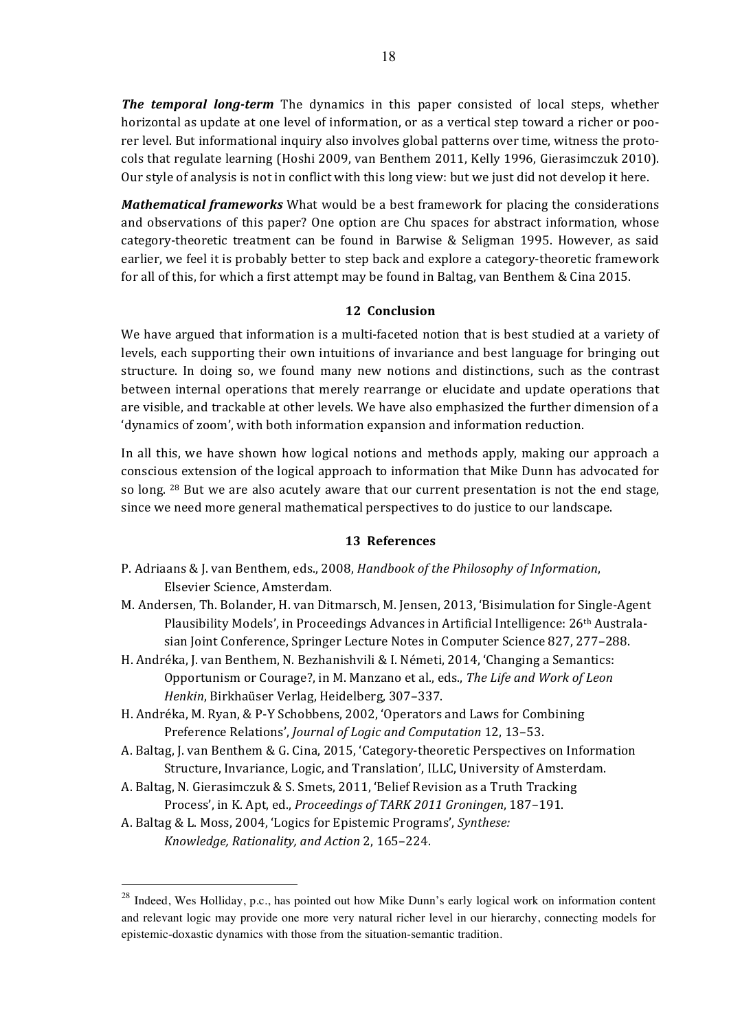**The temporal long-term** The dynamics in this paper consisted of local steps, whether horizontal as update at one level of information, or as a vertical step toward a richer or poorer level. But informational inquiry also involves global patterns over time, witness the protocols that regulate learning (Hoshi 2009, van Benthem 2011, Kelly 1996, Gierasimczuk 2010). Our style of analysis is not in conflict with this long view: but we just did not develop it here.

*Mathematical frameworks* What would be a best framework for placing the considerations and observations of this paper? One option are Chu spaces for abstract information, whose category-theoretic treatment can be found in Barwise & Seligman 1995. However, as said earlier, we feel it is probably better to step back and explore a category-theoretic framework for all of this, for which a first attempt may be found in Baltag, van Benthem & Cina 2015.

#### 12 Conclusion

We have argued that information is a multi-faceted notion that is best studied at a variety of levels, each supporting their own intuitions of invariance and best language for bringing out structure. In doing so, we found many new notions and distinctions, such as the contrast between internal operations that merely rearrange or elucidate and update operations that are visible, and trackable at other levels. We have also emphasized the further dimension of a 'dynamics of zoom', with both information expansion and information reduction.

In all this, we have shown how logical notions and methods apply, making our approach a conscious extension of the logical approach to information that Mike Dunn has advocated for so long.  $^{28}$  But we are also acutely aware that our current presentation is not the end stage, since we need more general mathematical perspectives to do justice to our landscape.

#### **13 References**

- P. Adriaans & J. van Benthem, eds., 2008, *Handbook of the Philosophy of Information*, Elsevier Science, Amsterdam.
- M. Andersen, Th. Bolander, H. van Ditmarsch, M. Jensen, 2013, 'Bisimulation for Single-Agent Plausibility Models', in Proceedings Advances in Artificial Intelligence: 26<sup>th</sup> Australasian Joint Conference, Springer Lecture Notes in Computer Science 827, 277–288.
- H. Andréka, J. van Benthem, N. Bezhanishvili & I. Németi, 2014, 'Changing a Semantics: Opportunism or Courage?, in M. Manzano et al., eds., The Life and Work of Leon *Henkin*, Birkhaüser Verlag, Heidelberg, 307-337.
- H. Andréka, M. Ryan, & P-Y Schobbens, 2002, 'Operators and Laws for Combining Preference Relations', *Journal of Logic and Computation* 12, 13-53.
- A. Baltag, J. van Benthem & G. Cina, 2015, 'Category-theoretic Perspectives on Information Structure, Invariance, Logic, and Translation', ILLC, University of Amsterdam.
- A. Baltag, N. Gierasimczuk & S. Smets, 2011, 'Belief Revision as a Truth Tracking Process', in K. Apt, ed., *Proceedings of TARK 2011 Groningen*, 187-191.
- A. Baltag & L. Moss, 2004, 'Logics for Epistemic Programs', *Synthese: Knowledge, Rationality, and Action* 2, 165–224.

<sup>&</sup>lt;sup>28</sup> Indeed, Wes Holliday, p.c., has pointed out how Mike Dunn's early logical work on information content and relevant logic may provide one more very natural richer level in our hierarchy, connecting models for epistemic-doxastic dynamics with those from the situation-semantic tradition.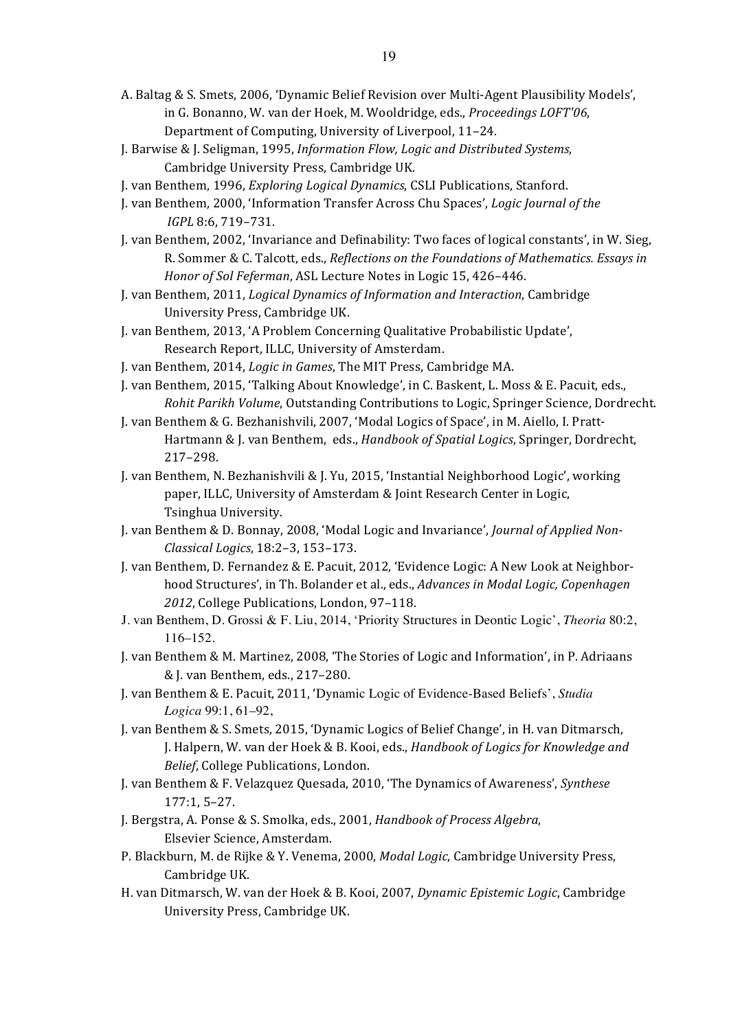- A. Baltag & S. Smets, 2006, 'Dynamic Belief Revision over Multi-Agent Plausibility Models', in G. Bonanno, W. van der Hoek, M. Wooldridge, eds., Proceedings LOFT'06, Department of Computing, University of Liverpool, 11-24.
- J. Barwise & J. Seligman, 1995, *Information Flow, Logic and Distributed Systems*, Cambridge University Press, Cambridge UK.
- J. van Benthem, 1996, *Exploring Logical Dynamics*, CSLI Publications, Stanford.
- J. van Benthem, 2000, 'Information Transfer Across Chu Spaces', *Logic Journal of the IGPL* 8:6, 719–731.
- J. van Benthem, 2002, 'Invariance and Definability: Two faces of logical constants', in W. Sieg, R. Sommer & C. Talcott, eds., *Reflections on the Foundations of Mathematics. Essays in Honor of Sol Feferman, ASL Lecture Notes in Logic 15, 426-446.*
- J. van Benthem, 2011, *Logical Dynamics of Information and Interaction*, Cambridge University Press, Cambridge UK.
- J. van Benthem, 2013, 'A Problem Concerning Qualitative Probabilistic Update', Research Report, ILLC, University of Amsterdam.
- J. van Benthem, 2014, *Logic in Games*, The MIT Press, Cambridge MA.
- J. van Benthem, 2015, 'Talking About Knowledge', in C. Baskent, L. Moss & E. Pacuit, eds., *Rohit Parikh Volume*, Outstanding Contributions to Logic, Springer Science, Dordrecht.
- J. van Benthem & G. Bezhanishvili, 2007, 'Modal Logics of Space', in M. Aiello, I. Pratt-Hartmann & J. van Benthem, eds., *Handbook of Spatial Logics*, Springer, Dordrecht, 217–298.
- J. van Benthem, N. Bezhanishvili & J. Yu, 2015, 'Instantial Neighborhood Logic', working paper, ILLC, University of Amsterdam & Joint Research Center in Logic, Tsinghua University.
- J. van Benthem & D. Bonnay, 2008, 'Modal Logic and Invariance', *Journal of Applied Non-Classical Logics*, 18:2–3, 153–173.
- J. van Benthem, D. Fernandez & E. Pacuit, 2012, 'Evidence Logic: A New Look at Neighborhood Structures', in Th. Bolander et al., eds., *Advances in Modal Logic, Copenhagen* 2012, College Publications, London, 97-118.
- J. van Benthem, D. Grossi & F. Liu, 2014, 'Priority Structures in Deontic Logic', *Theoria* 80:2, 116–152.
- J. van Benthem & M. Martinez, 2008, 'The Stories of Logic and Information', in P. Adriaans & J. van Benthem, eds., 217-280.
- J. van Benthem & E. Pacuit, 2011, 'Dynamic Logic of Evidence-Based Beliefs', *Studia Logica* 99:1, 61–92,
- J. van Benthem & S. Smets, 2015, 'Dynamic Logics of Belief Change', in H. van Ditmarsch, J. Halpern, W. van der Hoek & B. Kooi, eds., *Handbook of Logics for Knowledge and Belief*, College Publications, London.
- J. van Benthem & F. Velazquez Quesada, 2010, 'The Dynamics of Awareness', *Synthese* 177:1, 5–27.
- J. Bergstra, A. Ponse & S. Smolka, eds., 2001, *Handbook of Process Algebra*, Elsevier Science, Amsterdam.
- P. Blackburn, M. de Rijke & Y. Venema, 2000, *Modal Logic*, Cambridge University Press, Cambridge UK.
- H. van Ditmarsch, W. van der Hoek & B. Kooi, 2007, *Dynamic Epistemic Logic*, Cambridge University Press, Cambridge UK.